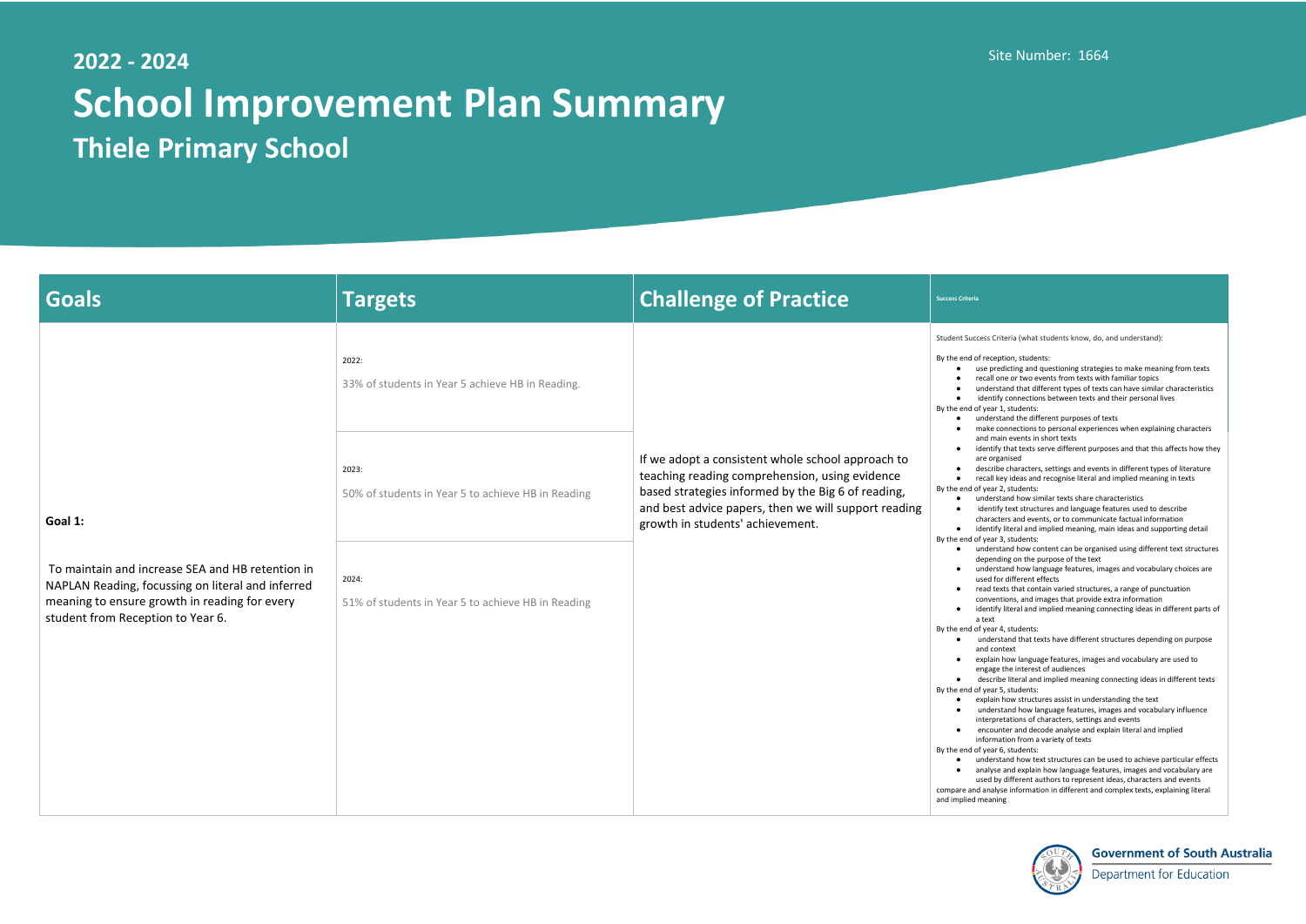## **2022 - 2024 School Improvement Plan Summary Thiele Primary School**

## Site Number: 1664

s Criteria (what students know, do, and understand):

- $P$  eception, students:
- predicting and questioning strategies to make meaning from texts all one or two events from texts with familiar topics
- lerstand that different types of texts can have similar characteristics entify connections between texts and their personal lives ear 1, students:
- lerstand the different purposes of texts
- ke connections to personal experiences when explaining characters I main events in short texts
- ntify that texts serve different purposes and that this affects how they organised
- cribe characters, settings and events in different types of literature all key ideas and recognise literal and implied meaning in texts ear 2, students:
- lerstand how similar texts share characteristics
- ntify text structures and language features used to describe
- racters and events, or to communicate factual information
- ntify literal and implied meaning, main ideas and supporting detail ear 3, students:
- lerstand how content can be organised using different text structures ending on the purpose of the text
- lerstand how language features, images and vocabulary choices are ed for different effects
- d texts that contain varied structures, a range of punctuation ventions, and images that provide extra information
- ntify literal and implied meaning connecting ideas in different parts of a text
- ear 4, students:
- derstand that texts have different structures depending on purpose d context
- lain how language features, images and vocabulary are used to rage the interest of audiences
- scribe literal and implied meaning connecting ideas in different texts ear 5, students:
- lain how structures assist in understanding the text
- derstand how language features, images and vocabulary influence erpretations of characters, settings and events
- counter and decode analyse and explain literal and implied
- ormation from a variety of texts
- ear 6, students:
- derstand how text structures can be used to achieve particular effects lyse and explain how language features, images and vocabulary are
- ed by different authors to represent ideas, characters and events nalyse information in different and complex texts, explaining literal
- aning



## **Government of South Australia**

**Department for Education** 

| <b>Goals</b>                                                                                                                                                                                           | <b>Targets</b>                                              | <b>Challenge of Practice</b>                                                                                                                                                                                                                          | <b>Success Criteria</b>                                                                                                                                                                                                                                                                           |
|--------------------------------------------------------------------------------------------------------------------------------------------------------------------------------------------------------|-------------------------------------------------------------|-------------------------------------------------------------------------------------------------------------------------------------------------------------------------------------------------------------------------------------------------------|---------------------------------------------------------------------------------------------------------------------------------------------------------------------------------------------------------------------------------------------------------------------------------------------------|
| Goal 1:<br>To maintain and increase SEA and HB retention in<br>NAPLAN Reading, focussing on literal and inferred<br>meaning to ensure growth in reading for every<br>student from Reception to Year 6. | 2022:<br>33% of students in Year 5 achieve HB in Reading.   |                                                                                                                                                                                                                                                       | <b>Student Success</b><br>By the end of re<br>use<br>reca<br>und<br>ide<br>By the end of ye<br>und<br>mak<br>$\bullet$                                                                                                                                                                            |
|                                                                                                                                                                                                        | 2023:<br>50% of students in Year 5 to achieve HB in Reading | If we adopt a consistent whole school approach to<br>teaching reading comprehension, using evidence<br>based strategies informed by the Big 6 of reading,<br>and best advice papers, then we will support reading<br>growth in students' achievement. | and<br>ider<br>are<br>des<br>reca<br>$\bullet$<br>By the end of ye<br>und<br>$\bullet$<br>ide<br>$\bullet$<br>char<br>ider<br>$\bullet$<br>By the end of ye<br>und<br>$\bullet$<br>dep<br>und<br>$\bullet$<br>use<br>read<br>con<br>ider<br>a te<br>By the end of ye<br>unc<br>and<br>expl<br>eng |
|                                                                                                                                                                                                        | 2024:<br>51% of students in Year 5 to achieve HB in Reading |                                                                                                                                                                                                                                                       |                                                                                                                                                                                                                                                                                                   |
|                                                                                                                                                                                                        |                                                             |                                                                                                                                                                                                                                                       | des<br>By the end of ye<br>expl<br>unc<br>inte<br>enc<br>info<br>By the end of ye<br>und<br>anal<br>use<br>compare and ar<br>and implied me                                                                                                                                                       |